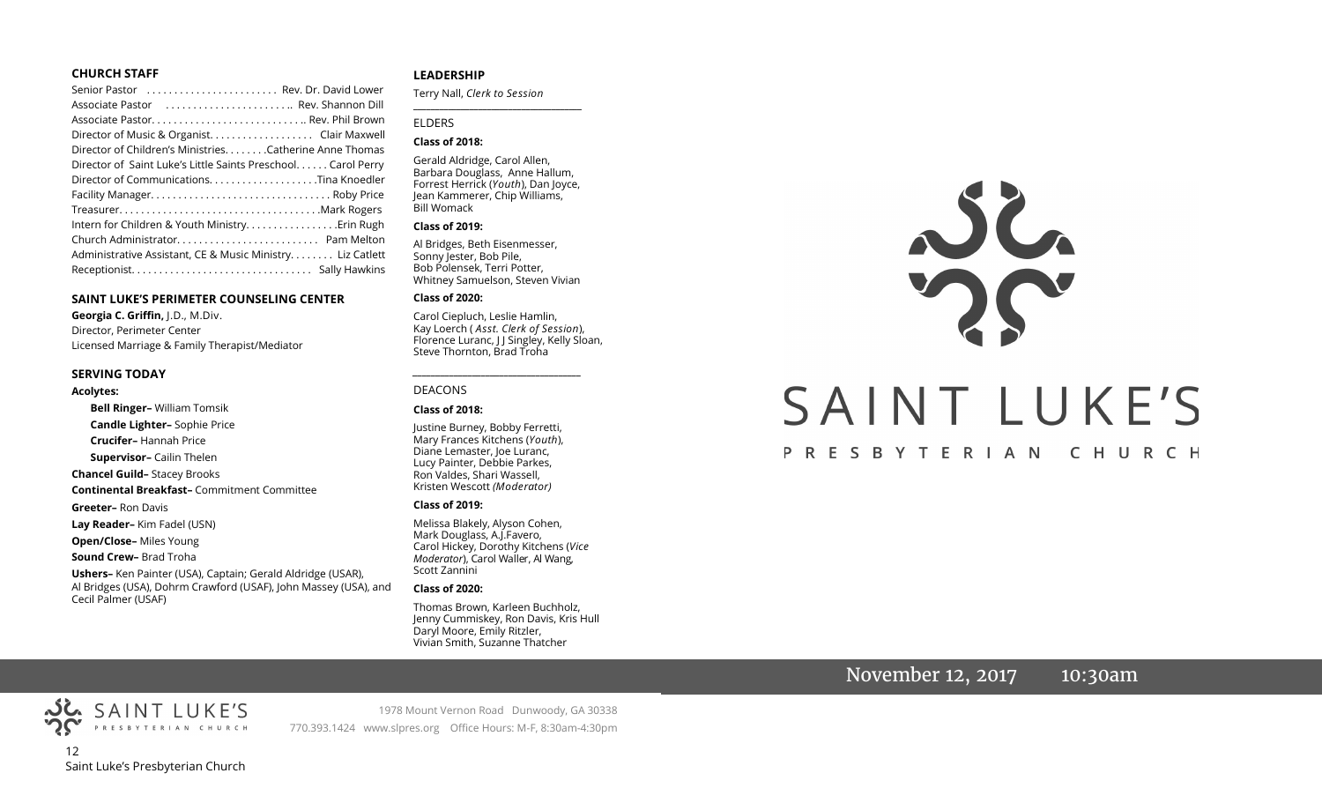#### **CHURCH STAFF**

| Senior Pastor  Rev. Dr. David Lower                          |
|--------------------------------------------------------------|
| Associate Pastor  Rev. Shannon Dill                          |
|                                                              |
| Director of Music & Organist. Clair Maxwell                  |
| Director of Children's Ministries. Catherine Anne Thomas     |
| Director of Saint Luke's Little Saints Preschool Carol Perry |
| Director of CommunicationsTina Knoedler                      |
|                                                              |
|                                                              |
|                                                              |
|                                                              |
| Administrative Assistant, CE & Music Ministry Liz Catlett    |
|                                                              |

#### **SAINT LUKE'S PERIMETER COUNSELING CENTER**

**Georgia C. Griffin,** J.D., M.Div. Director, Perimeter Center Licensed Marriage & Family Therapist/Mediator

#### **SERVING TODAY**

Cecil Palmer (USAF)

#### **Acolytes:**

**Bell Ringer–** William Tomsik **Candle Lighter–** Sophie Price **Crucifer–** Hannah Price **Supervisor–** Cailin Thelen **Chancel Guild–** Stacey Brooks **Continental Breakfast–** Commitment Committee **Greeter–** Ron Davis **Lay Reader–** Kim Fadel (USN) **Open/Close–** Miles Young **Sound Crew–** Brad Troha **Ushers–** Ken Painter (USA), Captain; Gerald Aldridge (USAR), Al Bridges (USA), Dohrm Crawford (USAF), John Massey (USA), and

#### **LEADERSHIP**

Terry Nall, *Clerk to Session*  **\_\_\_\_\_\_\_\_\_\_\_\_\_\_\_\_\_\_\_\_\_\_\_\_\_\_\_\_\_\_\_\_\_\_\_\_\_\_\_**

#### ELDERS

#### **Class of 2018:**

Gerald Aldridge, Carol Allen, Barbara Douglass, Anne Hallum, Forrest Herrick (*Youth*), Dan Joyce, Jean Kammerer, Chip Williams, Bill Womack

#### **Class of 2019:**

Al Bridges, Beth Eisenmesser, Sonny Jester, Bob Pile, Bob Polensek, Terri Potter, Whitney Samuelson, Steven Vivian

#### **Class of 2020:**

Carol Ciepluch, Leslie Hamlin, Kay Loerch ( *Asst. Clerk of Session*), Florence Luranc, J J Singley, Kelly Sloan, Steve Thornton, Brad Troha

*\_\_\_\_\_\_\_\_\_\_\_\_\_\_\_\_\_\_\_\_\_\_\_\_\_\_\_\_\_\_\_\_\_\_\_\_\_*

#### DEACONS

#### **Class of 2018:**

Justine Burney, Bobby Ferretti, Mary Frances Kitchens (*Youth*), Diane Lemaster, Joe Luranc, Lucy Painter, Debbie Parkes, Ron Valdes, Shari Wassell, Kristen Wescott *(Moderator)*

#### **Class of 2019:**

Melissa Blakely, Alyson Cohen, Mark Douglass, A.J.Favero, Carol Hickey, Dorothy Kitchens (*Vice Moderator*), Carol Waller, Al Wang, Scott Zannini

#### **Class of 2020:**

Thomas Brown, Karleen Buchholz, Jenny Cummiskey, Ron Davis, Kris Hull Daryl Moore, Emily Ritzler, Vivian Smith, Suzanne Thatcher

# SAINT LUKE'S PRESBYTERIAN CHURCH

## November 12, 2017 10:30am



1978 Mount Vernon Road Dunwoody, GA 30338 770.393.1424 www.slpres.org Office Hours: M-F, 8:30am-4:30pm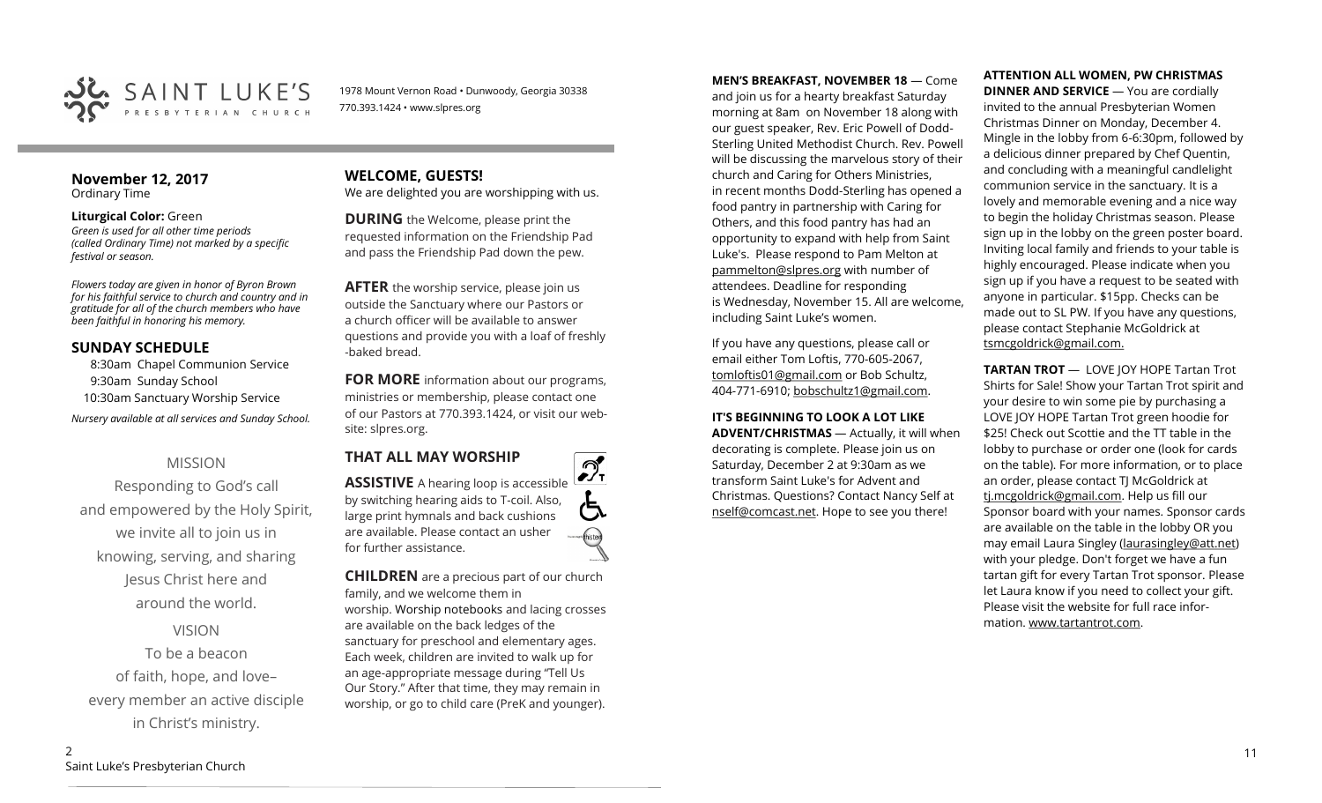

1978 Mount Vernon Road • Dunwoody, Georgia 30338 770.393.1424 • www.slpres.org

#### **November 12, 2017**  Ordinary Time

#### **Liturgical Color:** Green *Green is used for all other time periods (called Ordinary Time) not marked by a specific festival or season.*

*Flowers today are given in honor of Byron Brown for his faithful service to church and country and in gratitude for all of the church members who have been faithful in honoring his memory.* 

#### **SUNDAY SCHEDULE**

8:30am Chapel Communion Service 9:30am Sunday School 10:30am Sanctuary Worship Service *Nursery available at all services and Sunday School.* 

## MISSION

Responding to God's call and empowered by the Holy Spirit, we invite all to join us in knowing, serving, and sharing Jesus Christ here and around the world.

VISION

To be a beacon of faith, hope, and love– every member an active disciple in Christ's ministry.

#### **WELCOME, GUESTS!**  We are delighted you are worshipping with us.

**DURING** the Welcome, please print the requested information on the Friendship Pad and pass the Friendship Pad down the pew.

**AFTER** the worship service, please join us outside the Sanctuary where our Pastors or a church officer will be available to answer questions and provide you with a loaf of freshly -baked bread.

**FOR MORE** information about our programs, ministries or membership, please contact one of our Pastors at 770.393.1424, or visit our website: slpres.org.

**THAT ALL MAY WORSHIP**



**CHILDREN** are a precious part of our church family, and we welcome them in worship. Worship notebooks and lacing crosses are available on the back ledges of the sanctuary for preschool and elementary ages. Each week, children are invited to walk up for an age-appropriate message during "Tell Us Our Story." After that time, they may remain in worship, or go to child care (PreK and younger).

**MEN'S BREAKFAST, NOVEMBER 18** — Come and join us for a hearty breakfast Saturday morning at 8am on November 18 along with our guest speaker, Rev. Eric Powell of Dodd-Sterling United Methodist Church. Rev. Powell will be discussing the marvelous story of their church and Caring for Others Ministries, in recent months Dodd-Sterling has opened a food pantry in partnership with Caring for Others, and this food pantry has had an opportunity to expand with help from Saint Luke's. Please respond to Pam Melton at [pammelton@slpres.org](mailto:pammelton@slpres.org) with number of attendees. Deadline for responding is Wednesday, November 15. All are welcome, including Saint Luke's women.

If you have any questions, please call or email either Tom Loftis, 770-605-2067, [tomloftis01@gmail.com](mailto:tomloftis01@gmail.com) or Bob Schultz, 404-771-6910; [bobschultz1@gmail.com.](mailto:bobschultz1@gmail.com)

#### **IT'S BEGINNING TO LOOK A LOT LIKE**

**ADVENT/CHRISTMAS** — Actually, it will when decorating is complete. Please join us on Saturday, December 2 at 9:30am as we transform Saint Luke's for Advent and Christmas. Questions? Contact Nancy Self at [nself@comcast.net.](mailto:nself@comcast.net) Hope to see you there!

# **ATTENTION ALL WOMEN, PW CHRISTMAS**

**DINNER AND SERVICE** — You are cordially invited to the annual Presbyterian Women Christmas Dinner on Monday, December 4. Mingle in the lobby from 6-6:30pm, followed by a delicious dinner prepared by Chef Quentin, and concluding with a meaningful candlelight communion service in the sanctuary. It is a lovely and memorable evening and a nice way to begin the holiday Christmas season. Please sign up in the lobby on the green poster board. Inviting local family and friends to your table is highly encouraged. Please indicate when you sign up if you have a request to be seated with anyone in particular. \$15pp. Checks can be made out to SL PW. If you have any questions, please contact Stephanie McGoldrick at tsmcgoldrick@gmail.com.

**TARTAN TROT** — LOVE JOY HOPE Tartan Trot Shirts for Sale! Show your Tartan Trot spirit and your desire to win some pie by purchasing a LOVE JOY HOPE Tartan Trot green hoodie for \$25! Check out Scottie and the TT table in the lobby to purchase or order one (look for cards on the table). For more information, or to place an order, please contact TJ McGoldrick at [tj.mcgoldrick@gmail.com.](mailto:tj.mcgoldrick@gmail.com) Help us fill our Sponsor board with your names. Sponsor cards are available on the table in the lobby OR you may email Laura Singley [\(laurasingley@att.net\)](mailto:laurasingley@att.net) with your pledge. Don't forget we have a fun tartan gift for every Tartan Trot sponsor. Please let Laura know if you need to collect your gift. Please visit the website for full race information. [www.tartantrot.com.](http://www.tartantrot.com/)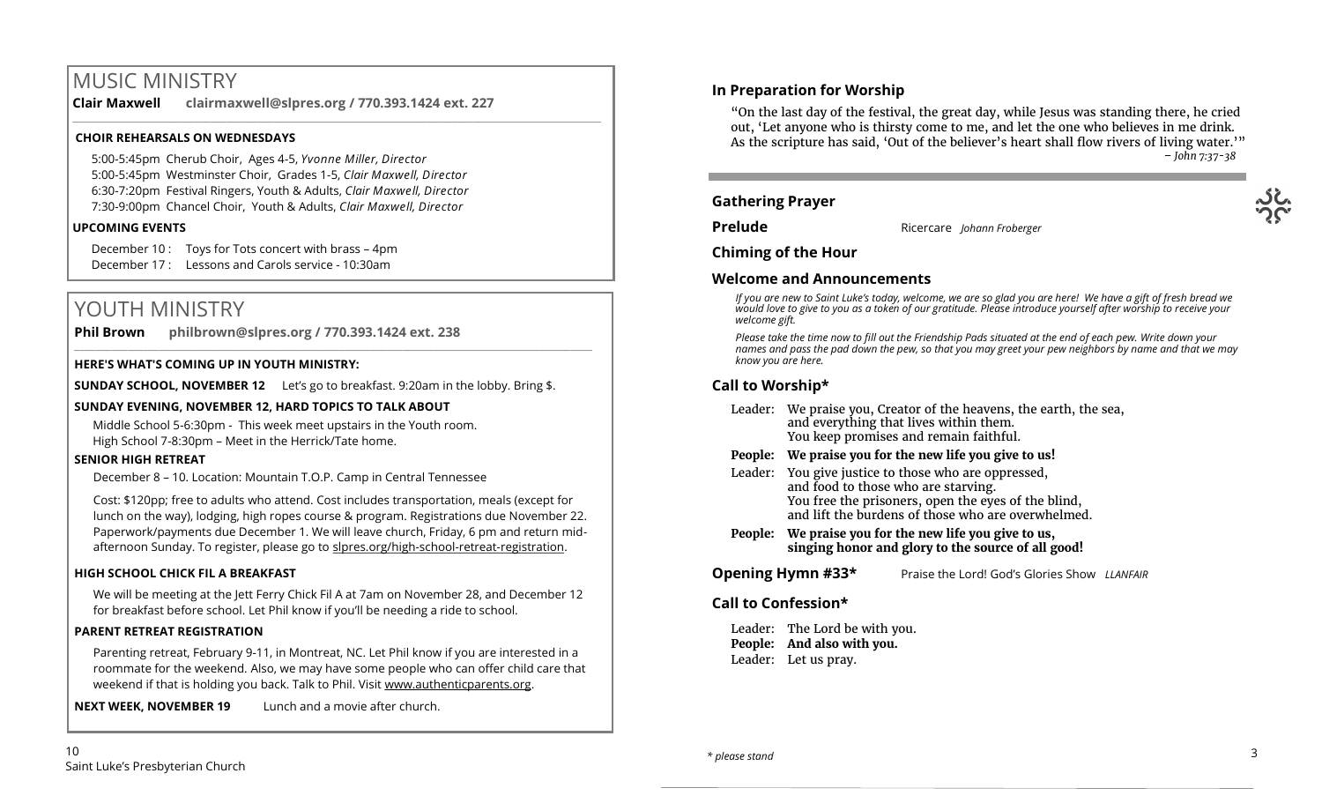# MUSIC MINISTRY

**Clair Maxwell clairmaxwell@slpres.org / 770.393.1424 ext. 227** 

\_\_\_\_\_\_\_\_\_\_\_\_\_\_\_\_\_\_\_\_\_\_\_\_\_\_\_\_\_\_\_\_\_\_\_\_\_\_\_\_\_\_\_\_\_\_\_\_\_\_\_\_\_\_\_\_\_\_\_\_\_\_\_\_\_\_\_\_\_\_\_\_\_\_\_\_\_\_\_\_\_\_\_\_\_\_\_\_\_\_\_\_\_\_\_\_\_\_\_\_

#### **CHOIR REHEARSALS ON WEDNESDAYS**

5:00-5:45pm Cherub Choir, Ages 4-5, *Yvonne Miller, Director*  5:00-5:45pm Westminster Choir, Grades 1-5, *Clair Maxwell, Director*  6:30-7:20pm Festival Ringers, Youth & Adults, *Clair Maxwell, Director*  7:30-9:00pm Chancel Choir, Youth & Adults, *Clair Maxwell, Director* 

#### **UPCOMING EVENTS**

December 10 : Toys for Tots concert with brass – 4pm December 17 : Lessons and Carols service - 10:30am

# YOUTH MINISTRY

**Phil Brown philbrown@slpres.org / 770.393.1424 ext. 238** 

#### **HERE'S WHAT'S COMING UP IN YOUTH MINISTRY:**

**SUNDAY SCHOOL, NOVEMBER 12** Let's go to breakfast. 9:20am in the lobby. Bring \$.

 $\_$  ,  $\_$  ,  $\_$  ,  $\_$  ,  $\_$  ,  $\_$  ,  $\_$  ,  $\_$  ,  $\_$  ,  $\_$  ,  $\_$  ,  $\_$  ,  $\_$  ,  $\_$  ,  $\_$  ,  $\_$  ,  $\_$  ,  $\_$  ,  $\_$  ,  $\_$  ,  $\_$  ,  $\_$  ,  $\_$  ,  $\_$  ,  $\_$  ,  $\_$  ,  $\_$  ,  $\_$  ,  $\_$  ,  $\_$  ,  $\_$  ,  $\_$  ,  $\_$  ,  $\_$  ,  $\_$  ,  $\_$  ,  $\_$  ,

#### **SUNDAY EVENING, NOVEMBER 12, HARD TOPICS TO TALK ABOUT**

 Middle School 5-6:30pm - This week meet upstairs in the Youth room. High School 7-8:30pm – Meet in the Herrick/Tate home.

#### **SENIOR HIGH RETREAT**

December 8 – 10. Location: Mountain T.O.P. Camp in Central Tennessee

Cost: \$120pp; free to adults who attend. Cost includes transportation, meals (except for lunch on the way), lodging, high ropes course & program. Registrations due November 22. Paperwork/payments due December 1. We will leave church, Friday, 6 pm and return midafternoon Sunday. To register, please go to slpres.org/high-school-retreat-registration.

#### **HIGH SCHOOL CHICK FIL A BREAKFAST**

We will be meeting at the Jett Ferry Chick Fil A at 7am on November 28, and December 12 for breakfast before school. Let Phil know if you'll be needing a ride to school.

#### **PARENT RETREAT REGISTRATION**

Parenting retreat, February 9-11, in Montreat, NC. Let Phil know if you are interested in a roommate for the weekend. Also, we may have some people who can offer child care that weekend if that is holding you back. Talk to Phil. Visit [www.authenticparents.org.](http://www.authenticparents.org)

**NEXT WEEK, NOVEMBER 19** Lunch and a movie after church.

**In Preparation for Worship** 

"On the last day of the festival, the great day, while Jesus was standing there, he cried out, 'Let anyone who is thirsty come to me, and let the one who believes in me drink. As the scripture has said, 'Out of the believer's heart shall flow rivers of living water.'" *– John 7:37-38*

#### **Gathering Prayer**

**Prelude** Ricercare *Johann Froberger* 

**Chiming of the Hour**

#### **Welcome and Announcements**

*If you are new to Saint Luke's today, welcome, we are so glad you are here! We have a gift of fresh bread we would love to give to you as a token of our gratitude. Please introduce yourself after worship to receive your welcome gift.*

*Please take the time now to fill out the Friendship Pads situated at the end of each pew. Write down your names and pass the pad down the pew, so that you may greet your pew neighbors by name and that we may know you are here.*

## **Call to Worship\***

|         | Leader: We praise you, Creator of the heavens, the earth, the sea,<br>and everything that lives within them.<br>You keep promises and remain faithful.                                                   |  |  |
|---------|----------------------------------------------------------------------------------------------------------------------------------------------------------------------------------------------------------|--|--|
|         | People: We praise you for the new life you give to us!                                                                                                                                                   |  |  |
|         | Leader: You give justice to those who are oppressed,<br>and food to those who are starving.<br>You free the prisoners, open the eyes of the blind,<br>and lift the burdens of those who are overwhelmed. |  |  |
| People: | We praise you for the new life you give to us,                                                                                                                                                           |  |  |

**singing honor and glory to the source of all good!**

#### **Opening Hymn #33\*** Praise the Lord! God's Glories Show *LLANFAIR*

#### **Call to Confession\***

Leader: The Lord be with you. **People: And also with you.** Leader: Let us pray.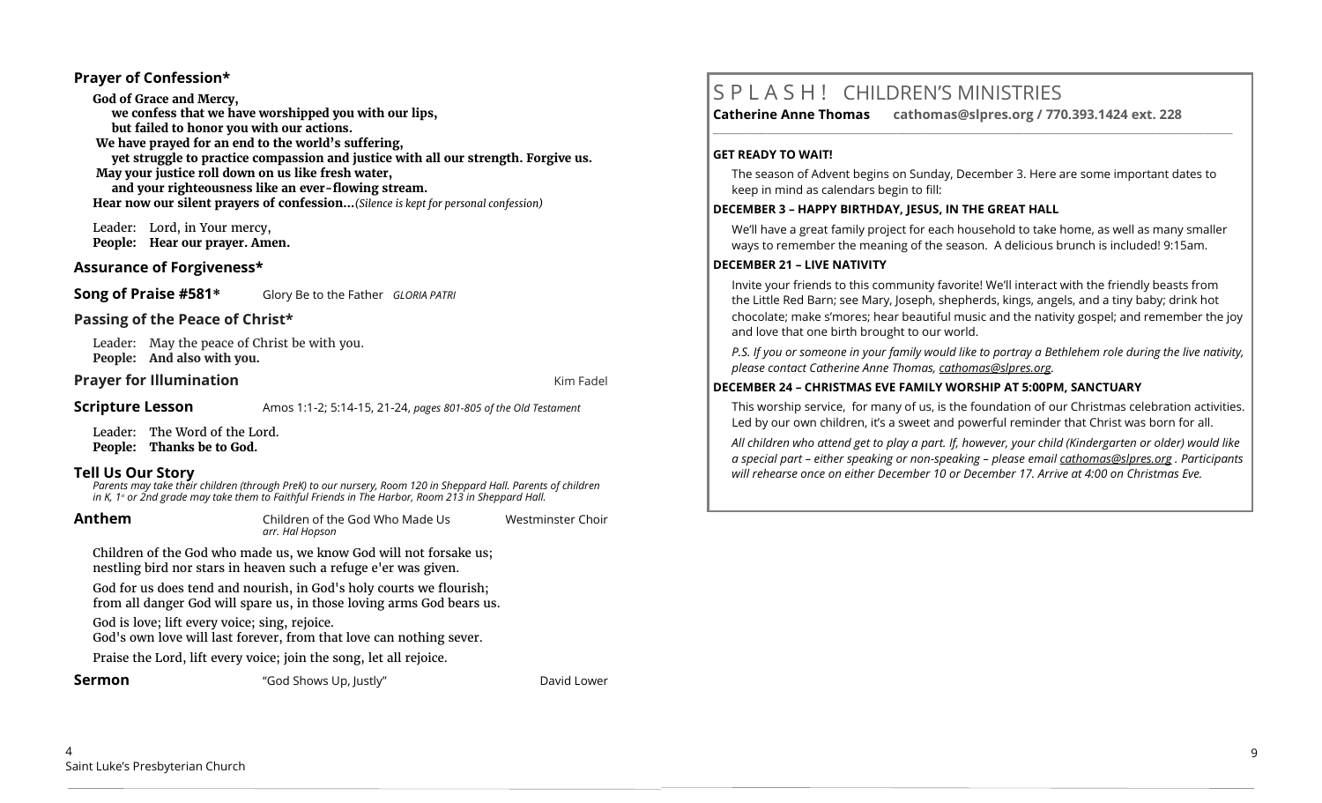#### **Prayer of Confession\***

**God of Grace and Mercy, we confess that we have worshipped you with our lips, but failed to honor you with our actions. We have prayed for an end to the world's suffering, yet struggle to practice compassion and justice with all our strength. Forgive us. May your justice roll down on us like fresh water, and your righteousness like an ever-flowing stream. Hear now our silent prayers of confession…***(Silence is kept for personal confession)* 

Leader: Lord, in Your mercy, **People: Hear our prayer. Amen.**

#### **Assurance of Forgiveness\***

**Song of Praise #581\*** Glory Be to the Father *GLORIA PATRI*

#### **Passing of the Peace of Christ\***

Leader: May the peace of Christ be with you. **People: And also with you.**

#### **Prayer for Illumination Contract Contract Contract Contract Contract Contract Contract Contract Contract Contract Contract Contract Contract Contract Contract Contract Contract Contract Contract Contract Contract Contra**

**Scripture Lesson** Amos 1:1-2; 5:14-15, 21-24, *pages 801-805 of the Old Testament* 

Leader: The Word of the Lord. **People: Thanks be to God.**

## **Tell Us Our Story**

Parents may take their children (through PreK) to our nursery, Room 120 in Sheppard Hall. Parents of children<br>in K, 1ª or 2nd grade may take them to Faithful Friends in The Harbor, Room 213 in Sheppard Hall.

| Anthem |                                                                                                                                      | Children of the God Who Made Us<br>arr. Hal Hopson                                                                                           | Westminster Choir |
|--------|--------------------------------------------------------------------------------------------------------------------------------------|----------------------------------------------------------------------------------------------------------------------------------------------|-------------------|
|        | Children of the God who made us, we know God will not forsake us;<br>nestling bird nor stars in heaven such a refuge e'er was given. |                                                                                                                                              |                   |
|        |                                                                                                                                      | God for us does tend and nourish, in God's holy courts we flourish;<br>from all danger God will spare us, in those loving arms God bears us. |                   |
|        | God is love; lift every voice; sing, rejoice.<br>God's own love will last forever, from that love can nothing sever.                 |                                                                                                                                              |                   |
|        | Praise the Lord, lift every voice; join the song, let all rejoice.                                                                   |                                                                                                                                              |                   |
|        | Sermon                                                                                                                               | "God Shows Up, Justly"                                                                                                                       | David Lower       |

# S P L A S H ! CHILDREN'S MINISTRIES

**Catherine Anne Thomas cathomas@slpres.org / 770.393.1424 ext. 228 \_\_\_\_\_\_\_\_\_\_\_\_\_\_\_\_\_\_\_\_\_\_\_\_\_\_\_\_\_\_\_\_\_\_\_\_\_\_\_\_\_\_\_\_\_\_\_\_\_\_\_\_\_\_\_\_\_\_\_\_\_\_\_\_\_\_\_\_\_\_\_\_\_\_\_\_\_\_\_\_\_\_\_\_\_\_\_\_\_\_\_\_\_\_\_\_\_\_\_\_\_\_\_\_\_\_\_** 

#### **GET READY TO WAIT!**

The season of Advent begins on Sunday, December 3. Here are some important dates to keep in mind as calendars begin to fill:

#### **DECEMBER 3 – HAPPY BIRTHDAY, JESUS, IN THE GREAT HALL**

We'll have a great family project for each household to take home, as well as many smaller ways to remember the meaning of the season. A delicious brunch is included! 9:15am.

#### **DECEMBER 21 – LIVE NATIVITY**

Invite your friends to this community favorite! We'll interact with the friendly beasts from the Little Red Barn; see Mary, Joseph, shepherds, kings, angels, and a tiny baby; drink hot chocolate; make s'mores; hear beautiful music and the nativity gospel; and remember the joy and love that one birth brought to our world.

*P.S. If you or someone in your family would like to portray a Bethlehem role during the live nativity, please contact Catherine Anne Thomas, [cathomas@slpres.org.](mailto:cathomas@slpres.org)* 

#### **DECEMBER 24 – CHRISTMAS EVE FAMILY WORSHIP AT 5:00PM, SANCTUARY**

This worship service, for many of us, is the foundation of our Christmas celebration activities. Led by our own children, it's a sweet and powerful reminder that Christ was born for all.

*All children who attend get to play a part. If, however, your child (Kindergarten or older) would like a special part – either speaking or non-speaking – please email [cathomas@slpres.org](mailto:cathomas@slpres.org) . Participants will rehearse once on either December 10 or December 17. Arrive at 4:00 on Christmas Eve.*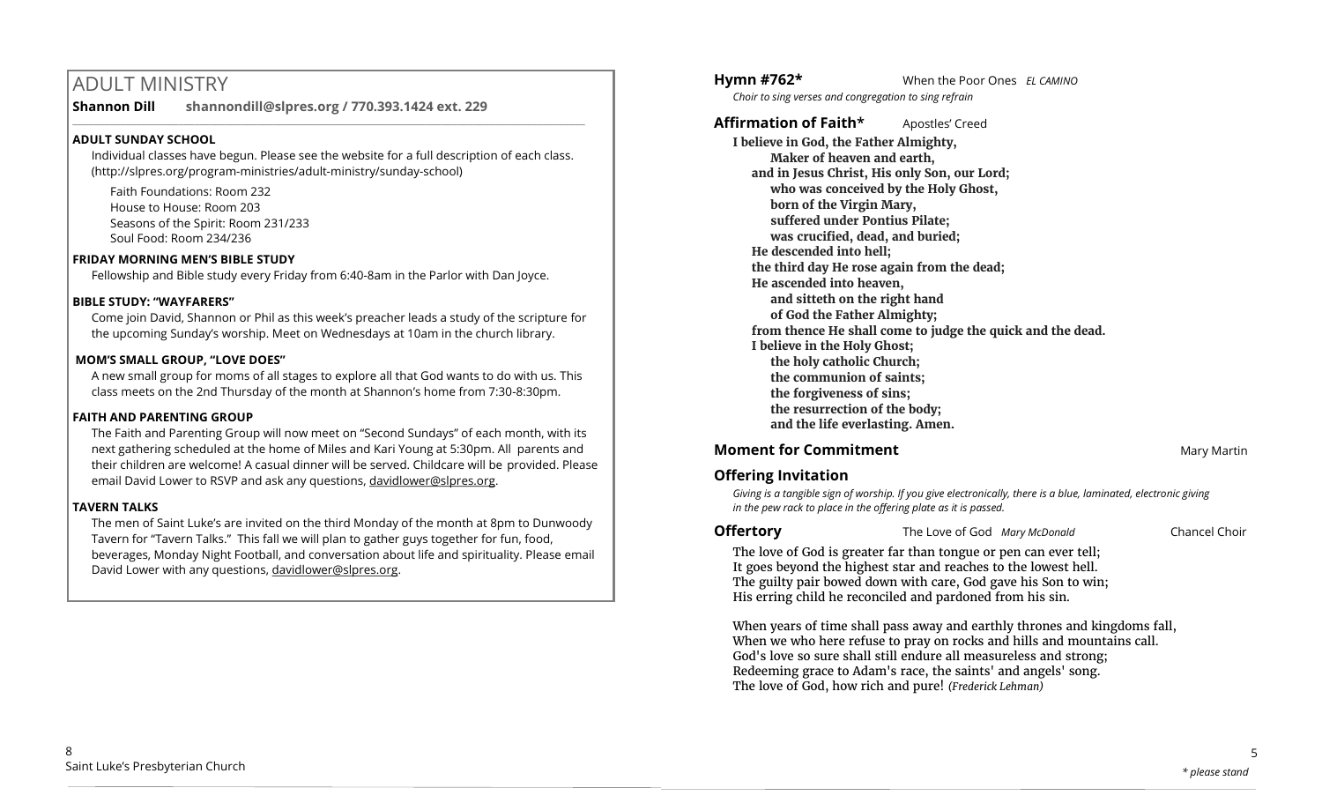# ADULT MINISTRY

**Shannon Dill shannondill@slpres.org / 770.393.1424 ext. 229** 

#### **ADULT SUNDAY SCHOOL**

Individual classes have begun. Please see the website for a full description of each class. (http://slpres.org/program-ministries/adult-ministry/sunday-school)

 $\_$  ,  $\_$  ,  $\_$  ,  $\_$  ,  $\_$  ,  $\_$  ,  $\_$  ,  $\_$  ,  $\_$  ,  $\_$  ,  $\_$  ,  $\_$  ,  $\_$  ,  $\_$  ,  $\_$  ,  $\_$  ,  $\_$  ,  $\_$  ,  $\_$  ,  $\_$ 

Faith Foundations: Room 232 House to House: Room 203 Seasons of the Spirit: Room 231/233 Soul Food: Room 234/236

#### **FRIDAY MORNING MEN'S BIBLE STUDY**

Fellowship and Bible study every Friday from 6:40-8am in the Parlor with Dan Joyce.

#### **BIBLE STUDY: "WAYFARERS"**

Come join David, Shannon or Phil as this week's preacher leads a study of the scripture for the upcoming Sunday's worship. Meet on Wednesdays at 10am in the church library.

#### **MOM'S SMALL GROUP, "LOVE DOES"**

A new small group for moms of all stages to explore all that God wants to do with us. This class meets on the 2nd Thursday of the month at Shannon's home from 7:30-8:30pm.

#### **FAITH AND PARENTING GROUP**

The Faith and Parenting Group will now meet on "Second Sundays" of each month, with its next gathering scheduled at the home of Miles and Kari Young at 5:30pm. All parents and their children are welcome! A casual dinner will be served. Childcare will be provided. Please email David Lower to RSVP and ask any questions, [davidlower@slpres.org.](mailto:davidlower@slpres.org)

#### **TAVERN TALKS**

The men of Saint Luke's are invited on the third Monday of the month at 8pm to Dunwoody Tavern for "Tavern Talks." This fall we will plan to gather guys together for fun, food, beverages, Monday Night Football, and conversation about life and spirituality. Please email David Lower with any questions, davidlower@slpres.org.

**Hymn #762\*** When the Poor Ones *EL CAMINO* 

*Choir to sing verses and congregation to sing refrain* 

**Affirmation of Faith\*** Apostles' Creed **I believe in God, the Father Almighty, Maker of heaven and earth, and in Jesus Christ, His only Son, our Lord; who was conceived by the Holy Ghost, born of the Virgin Mary, suffered under Pontius Pilate; was crucified, dead, and buried; He descended into hell; the third day He rose again from the dead; He ascended into heaven, and sitteth on the right hand of God the Father Almighty; from thence He shall come to judge the quick and the dead. I believe in the Holy Ghost; the holy catholic Church; the communion of saints; the forgiveness of sins; the resurrection of the body; and the life everlasting. Amen.**

## **Moment for Commitment Mary Martin** Mary Martin

## **Offering Invitation**

*Giving is a tangible sign of worship. If you give electronically, there is a blue, laminated, electronic giving in the pew rack to place in the offering plate as it is passed.*

**Offertory** The Love of God *Mary McDonald* Chancel Choir

The love of God is greater far than tongue or pen can ever tell; It goes beyond the highest star and reaches to the lowest hell. The guilty pair bowed down with care, God gave his Son to win; His erring child he reconciled and pardoned from his sin.

When years of time shall pass away and earthly thrones and kingdoms fall, When we who here refuse to pray on rocks and hills and mountains call. God's love so sure shall still endure all measureless and strong; Redeeming grace to Adam's race, the saints' and angels' song. The love of God, how rich and pure! *(Frederick Lehman)*